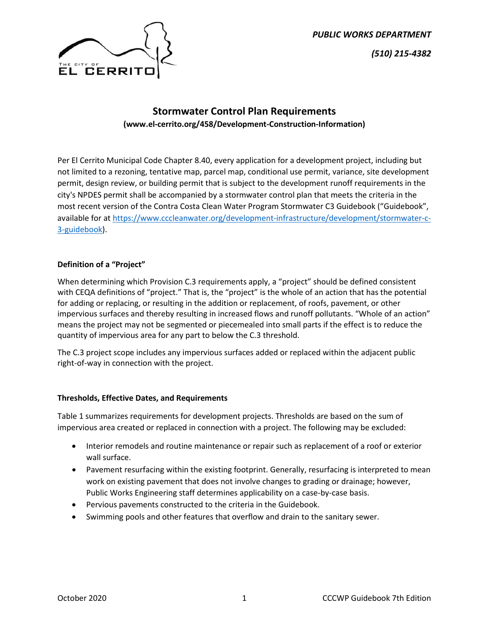



# **Stormwater Control Plan Requirements (www.el-cerrito.org/458/Development-Construction-Information)**

Per El Cerrito Municipal Code Chapter 8.40, every application for a development project, including but not limited to a rezoning, tentative map, parcel map, conditional use permit, variance, site development permit, design review, or building permit that is subject to the development runoff requirements in the city's NPDES permit shall be accompanied by a stormwater control plan that meets the criteria in the most recent version of the Contra Costa Clean Water Program Stormwater C3 Guidebook ("Guidebook", available for at [https://www.cccleanwater.org/development-infrastructure/development/stormwater-c-](https://www.cccleanwater.org/development-infrastructure/development/stormwater-c-3-guidebook)[3-guidebook\)](https://www.cccleanwater.org/development-infrastructure/development/stormwater-c-3-guidebook).

### **Definition of a "Project"**

When determining which Provision C.3 requirements apply, a "project" should be defined consistent with CEQA definitions of "project." That is, the "project" is the whole of an action that has the potential for adding or replacing, or resulting in the addition or replacement, of roofs, pavement, or other impervious surfaces and thereby resulting in increased flows and runoff pollutants. "Whole of an action" means the project may not be segmented or piecemealed into small parts if the effect is to reduce the quantity of impervious area for any part to below the C.3 threshold.

The C.3 project scope includes any impervious surfaces added or replaced within the adjacent public right-of-way in connection with the project.

### **Thresholds, Effective Dates, and Requirements**

Table 1 summarizes requirements for development projects. Thresholds are based on the sum of impervious area created or replaced in connection with a project. The following may be excluded:

- Interior remodels and routine maintenance or repair such as replacement of a roof or exterior wall surface.
- Pavement resurfacing within the existing footprint. Generally, resurfacing is interpreted to mean work on existing pavement that does not involve changes to grading or drainage; however, Public Works Engineering staff determines applicability on a case-by-case basis.
- Pervious pavements constructed to the criteria in the Guidebook.
- Swimming pools and other features that overflow and drain to the sanitary sewer.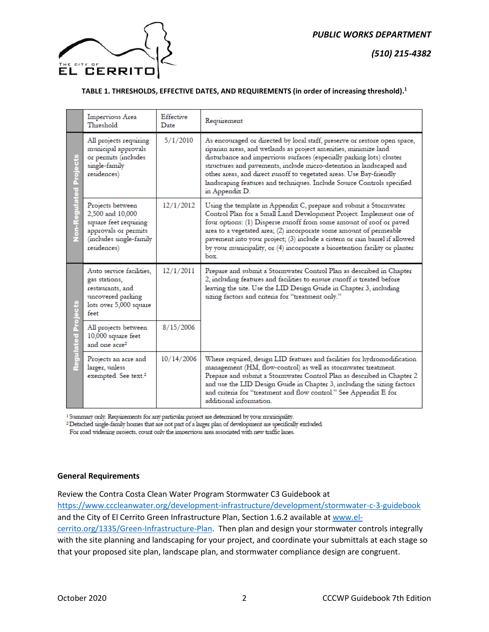



#### **TABLE 1. THRESHOLDS, EFFECTIVE DATES, AND REQUIREMENTS (in order of increasing threshold).1**

|                        | Impervious Area<br>Threshold                                                                                                    | Effective<br>$\mathbf{D}$ ate | Requirement                                                                                                                                                                                                                                                                                                                                                                                                                                                      |
|------------------------|---------------------------------------------------------------------------------------------------------------------------------|-------------------------------|------------------------------------------------------------------------------------------------------------------------------------------------------------------------------------------------------------------------------------------------------------------------------------------------------------------------------------------------------------------------------------------------------------------------------------------------------------------|
| Non-Regulated Projects | All projects requiring<br>municipal approvals<br>or permits (includes<br>single-family<br>residences)                           | 5/1/2010                      | As encouraged or directed by local staff, preserve or restore open space,<br>riparian areas, and wetlands as project amenities, minimize land<br>disturbance and impervious surfaces (especially parking lots) cluster<br>structures and pavements, include micro-detention in landscaped and<br>other areas, and direct runoff to vegetated areas. Use Bay-friendly<br>landscaping features and techniques. Include Source Controls specified<br>in Appendix D. |
|                        | Projects between<br>2,500 and 10,000<br>square feet requiring<br>approvals or permits<br>(includes single-family<br>residences) | 12/1/2012                     | Using the template in Appendix C, prepare and submit a Stormwater<br>Control Plan for a Small Land Development Project. Implement one of<br>four options: (1) Disperse runoff from some amount of roof or paved<br>area to a vegetated area; $(2)$ incorporate some amount of permeable<br>pavement into your project; (3) include a cistern or rain barrel if allowed<br>by your municipality, or (4) incorporate a bioretention facility or planter<br>box.    |
| ë<br>eraj<br>Regulated | Auto service facilities.<br>gas stations,<br>restaurants, and<br>uncovered parking<br>lots over 5,000 square<br>feet            | 12/1/2011                     | Prepare and submit a Stormwater Control Plan as described in Chapter<br>2, including features and facilities to ensure runoff is treated before<br>leaving the site. Use the LID Design Guide in Chapter 3, including<br>sizing factors and criteria for "treatment only."                                                                                                                                                                                       |
|                        | All projects between<br>10,000 square feet<br>and one acre <sup>2</sup>                                                         | 8/15/2006                     |                                                                                                                                                                                                                                                                                                                                                                                                                                                                  |
|                        | Projects an acre and<br>larger, unless<br>exempted. See text. <sup>2</sup>                                                      | 10/14/2006                    | Where required, design LID features and facilities for hydromodification<br>management (HM, flow-control) as well as stormwater treatment.<br>Prepare and submit a Stormwater Control Plan as described in Chapter 2<br>and use the LID Design Guide in Chapter 3, including the sizing factors<br>and criteria for "treatment and flow control." See Appendix E for<br>additional information.                                                                  |

<sup>1</sup> Summary only. Requirements for any particular project are determined by your municipality.

<sup>2</sup> Detached single-family homes that are not part of a larger plan of development are specifically excluded

For road widening projects, count only the impervious area associated with new traffic lanes.

#### **General Requirements**

Review the Contra Costa Clean Water Program Stormwater C3 Guidebook at

<https://www.cccleanwater.org/development-infrastructure/development/stormwater-c-3-guidebook> and the City of El Cerrito Green Infrastructure Plan, Section 1.6.2 available a[t www.el](http://www.el-cerrito.org/1335/Green-Infrastructure-Plan)[cerrito.org/1335/Green-Infrastructure-Plan.](http://www.el-cerrito.org/1335/Green-Infrastructure-Plan) Then plan and design your stormwater controls integrally with the site planning and landscaping for your project, and coordinate your submittals at each stage so that your proposed site plan, landscape plan, and stormwater compliance design are congruent.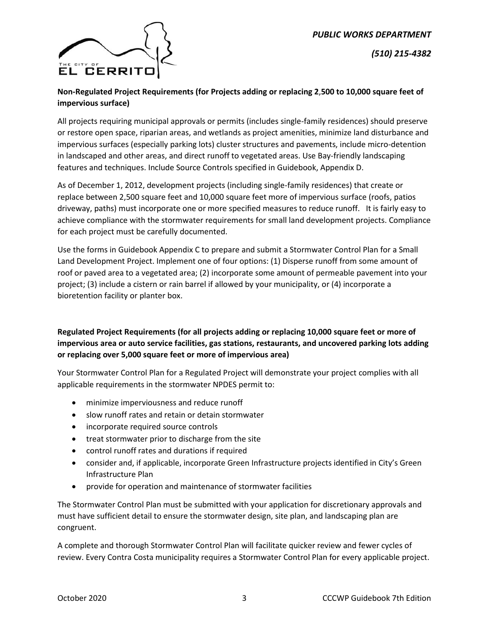

*(510) 215-4382*

## **Non-Regulated Project Requirements (for Projects adding or replacing 2**,**500 to 10,000 square feet of impervious surface)**

All projects requiring municipal approvals or permits (includes single-family residences) should preserve or restore open space, riparian areas, and wetlands as project amenities, minimize land disturbance and impervious surfaces (especially parking lots) cluster structures and pavements, include micro-detention in landscaped and other areas, and direct runoff to vegetated areas. Use Bay-friendly landscaping features and techniques. Include Source Controls specified in Guidebook, Appendix D.

As of December 1, 2012, development projects (including single-family residences) that create or replace between 2,500 square feet and 10,000 square feet more of impervious surface (roofs, patios driveway, paths) must incorporate one or more specified measures to reduce runoff. It is fairly easy to achieve compliance with the stormwater requirements for small land development projects. Compliance for each project must be carefully documented.

Use the forms in Guidebook Appendix C to prepare and submit a Stormwater Control Plan for a Small Land Development Project. Implement one of four options: (1) Disperse runoff from some amount of roof or paved area to a vegetated area; (2) incorporate some amount of permeable pavement into your project; (3) include a cistern or rain barrel if allowed by your municipality, or (4) incorporate a bioretention facility or planter box.

# **Regulated Project Requirements (for all projects adding or replacing 10,000 square feet or more of impervious area or auto service facilities, gas stations, restaurants, and uncovered parking lots adding or replacing over 5,000 square feet or more of impervious area)**

Your Stormwater Control Plan for a Regulated Project will demonstrate your project complies with all applicable requirements in the stormwater NPDES permit to:

- minimize imperviousness and reduce runoff
- slow runoff rates and retain or detain stormwater
- incorporate required source controls
- treat stormwater prior to discharge from the site
- control runoff rates and durations if required
- consider and, if applicable, incorporate Green Infrastructure projects identified in City's Green Infrastructure Plan
- provide for operation and maintenance of stormwater facilities

The Stormwater Control Plan must be submitted with your application for discretionary approvals and must have sufficient detail to ensure the stormwater design, site plan, and landscaping plan are congruent.

A complete and thorough Stormwater Control Plan will facilitate quicker review and fewer cycles of review. Every Contra Costa municipality requires a Stormwater Control Plan for every applicable project.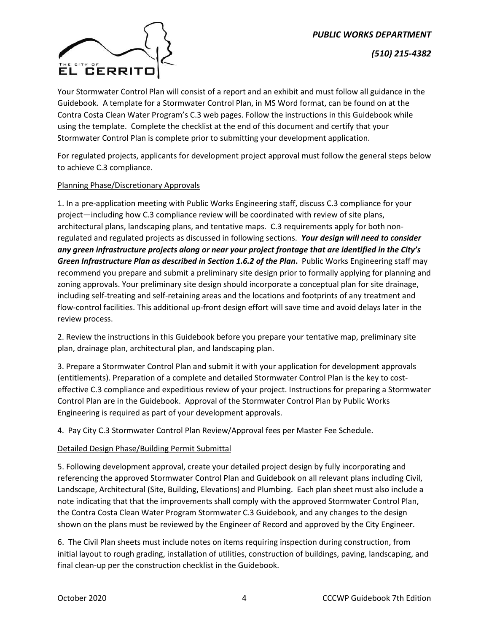

*(510) 215-4382*

Your Stormwater Control Plan will consist of a report and an exhibit and must follow all guidance in the Guidebook. A template for a Stormwater Control Plan, in MS Word format, can be found on at the Contra Costa Clean Water Program's C.3 web pages. Follow the instructions in this Guidebook while using the template. Complete the checklist at the end of this document and certify that your Stormwater Control Plan is complete prior to submitting your development application.

For regulated projects, applicants for development project approval must follow the general steps below to achieve C.3 compliance.

### Planning Phase/Discretionary Approvals

1. In a pre-application meeting with Public Works Engineering staff, discuss C.3 compliance for your project—including how C.3 compliance review will be coordinated with review of site plans, architectural plans, landscaping plans, and tentative maps. C.3 requirements apply for both nonregulated and regulated projects as discussed in following sections. *Your design will need to consider any green infrastructure projects along or near your project frontage that are identified in the City's Green Infrastructure Plan as described in Section 1.6.2 of the Plan***.** Public Works Engineering staff may recommend you prepare and submit a preliminary site design prior to formally applying for planning and zoning approvals. Your preliminary site design should incorporate a conceptual plan for site drainage, including self-treating and self-retaining areas and the locations and footprints of any treatment and flow-control facilities. This additional up-front design effort will save time and avoid delays later in the review process.

2. Review the instructions in this Guidebook before you prepare your tentative map, preliminary site plan, drainage plan, architectural plan, and landscaping plan.

3. Prepare a Stormwater Control Plan and submit it with your application for development approvals (entitlements). Preparation of a complete and detailed Stormwater Control Plan is the key to costeffective C.3 compliance and expeditious review of your project. Instructions for preparing a Stormwater Control Plan are in the Guidebook. Approval of the Stormwater Control Plan by Public Works Engineering is required as part of your development approvals.

4. Pay City C.3 Stormwater Control Plan Review/Approval fees per Master Fee Schedule.

#### Detailed Design Phase/Building Permit Submittal

5. Following development approval, create your detailed project design by fully incorporating and referencing the approved Stormwater Control Plan and Guidebook on all relevant plans including Civil, Landscape, Architectural (Site, Building, Elevations) and Plumbing. Each plan sheet must also include a note indicating that that the improvements shall comply with the approved Stormwater Control Plan, the Contra Costa Clean Water Program Stormwater C.3 Guidebook, and any changes to the design shown on the plans must be reviewed by the Engineer of Record and approved by the City Engineer.

6. The Civil Plan sheets must include notes on items requiring inspection during construction, from initial layout to rough grading, installation of utilities, construction of buildings, paving, landscaping, and final clean-up per the construction checklist in the Guidebook.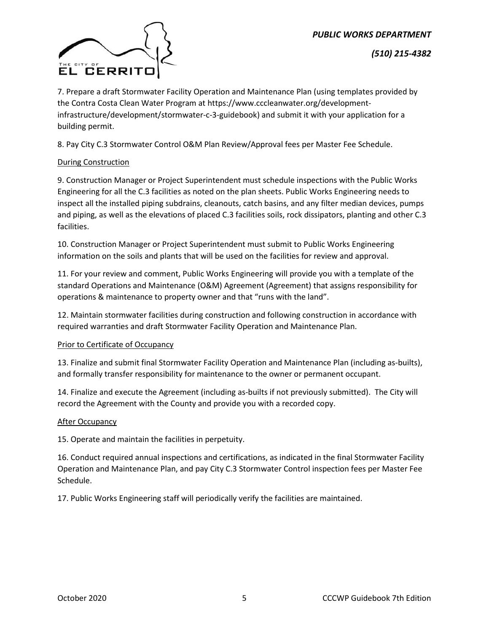

*(510) 215-4382*

7. Prepare a draft Stormwater Facility Operation and Maintenance Plan (using templates provided by the Contra Costa Clean Water Program at https://www.cccleanwater.org/developmentinfrastructure/development/stormwater-c-3-guidebook) and submit it with your application for a building permit.

8. Pay City C.3 Stormwater Control O&M Plan Review/Approval fees per Master Fee Schedule.

### During Construction

9. Construction Manager or Project Superintendent must schedule inspections with the Public Works Engineering for all the C.3 facilities as noted on the plan sheets. Public Works Engineering needs to inspect all the installed piping subdrains, cleanouts, catch basins, and any filter median devices, pumps and piping, as well as the elevations of placed C.3 facilities soils, rock dissipators, planting and other C.3 facilities.

10. Construction Manager or Project Superintendent must submit to Public Works Engineering information on the soils and plants that will be used on the facilities for review and approval.

11. For your review and comment, Public Works Engineering will provide you with a template of the standard Operations and Maintenance (O&M) Agreement (Agreement) that assigns responsibility for operations & maintenance to property owner and that "runs with the land".

12. Maintain stormwater facilities during construction and following construction in accordance with required warranties and draft Stormwater Facility Operation and Maintenance Plan.

#### Prior to Certificate of Occupancy

13. Finalize and submit final Stormwater Facility Operation and Maintenance Plan (including as-builts), and formally transfer responsibility for maintenance to the owner or permanent occupant.

14. Finalize and execute the Agreement (including as-builts if not previously submitted). The City will record the Agreement with the County and provide you with a recorded copy.

#### **After Occupancy**

15. Operate and maintain the facilities in perpetuity.

16. Conduct required annual inspections and certifications, as indicated in the final Stormwater Facility Operation and Maintenance Plan, and pay City C.3 Stormwater Control inspection fees per Master Fee Schedule.

17. Public Works Engineering staff will periodically verify the facilities are maintained.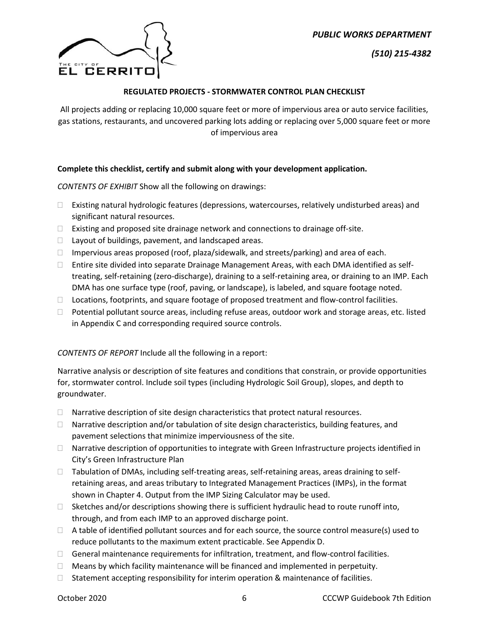*(510) 215-4382*



### **REGULATED PROJECTS - STORMWATER CONTROL PLAN CHECKLIST**

All projects adding or replacing 10,000 square feet or more of impervious area or auto service facilities, gas stations, restaurants, and uncovered parking lots adding or replacing over 5,000 square feet or more of impervious area

### **Complete this checklist, certify and submit along with your development application.**

*CONTENTS OF EXHIBIT* Show all the following on drawings:

- $\Box$  Existing natural hydrologic features (depressions, watercourses, relatively undisturbed areas) and significant natural resources.
- $\Box$  Existing and proposed site drainage network and connections to drainage off-site.
- $\Box$  Layout of buildings, pavement, and landscaped areas.
- $\Box$  Impervious areas proposed (roof, plaza/sidewalk, and streets/parking) and area of each.
- $\Box$  Entire site divided into separate Drainage Management Areas, with each DMA identified as selftreating, self-retaining (zero-discharge), draining to a self-retaining area, or draining to an IMP. Each DMA has one surface type (roof, paving, or landscape), is labeled, and square footage noted.
- □ Locations, footprints, and square footage of proposed treatment and flow-control facilities.
- $\Box$  Potential pollutant source areas, including refuse areas, outdoor work and storage areas, etc. listed in Appendix C and corresponding required source controls.

#### *CONTENTS OF REPORT* Include all the following in a report:

Narrative analysis or description of site features and conditions that constrain, or provide opportunities for, stormwater control. Include soil types (including Hydrologic Soil Group), slopes, and depth to groundwater.

- $\Box$  Narrative description of site design characteristics that protect natural resources.
- □ Narrative description and/or tabulation of site design characteristics, building features, and pavement selections that minimize imperviousness of the site.
- $\Box$  Narrative description of opportunities to integrate with Green Infrastructure projects identified in City's Green Infrastructure Plan
- $\Box$  Tabulation of DMAs, including self-treating areas, self-retaining areas, areas draining to selfretaining areas, and areas tributary to Integrated Management Practices (IMPs), in the format shown in Chapter 4. Output from the IMP Sizing Calculator may be used.
- $\Box$  Sketches and/or descriptions showing there is sufficient hydraulic head to route runoff into, through, and from each IMP to an approved discharge point.
- $\Box$  A table of identified pollutant sources and for each source, the source control measure(s) used to reduce pollutants to the maximum extent practicable. See Appendix D.
- $\Box$  General maintenance requirements for infiltration, treatment, and flow-control facilities.
- $\Box$  Means by which facility maintenance will be financed and implemented in perpetuity.
- $\Box$  Statement accepting responsibility for interim operation & maintenance of facilities.